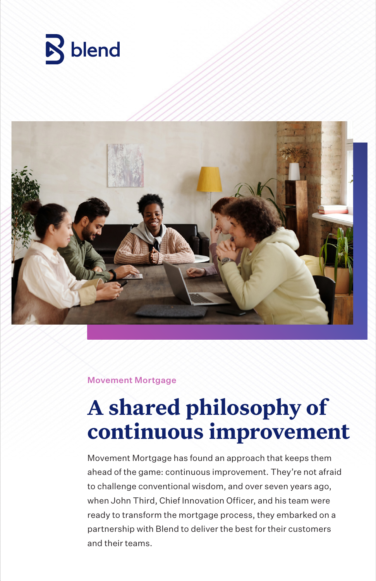



#### Movement Mortgage

# **A shared philosophy of continuous improvement**

Movement Mortgage has found an approach that keeps them ahead of the game: continuous improvement. They're not afraid to challenge conventional wisdom, and over seven years ago, when John Third, Chief Innovation Officer, and his team were ready to transform the mortgage process, they embarked on a partnership with Blend to deliver the best for their customers and their teams.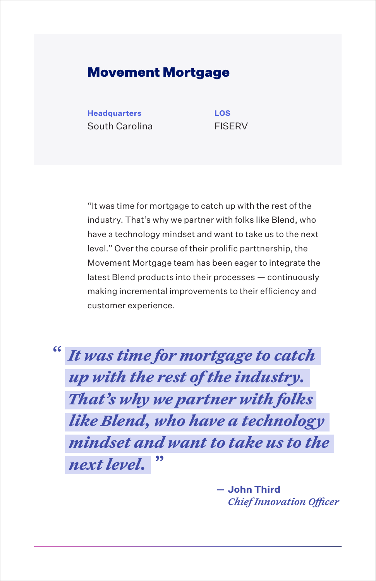#### Movement Mortgage

**Headquarters LOS** South Carolina FISERV

"It was time for mortgage to catch up with the rest of the industry. That's why we partner with folks like Blend, who have a technology mindset and want to take us to the next level." Over the course of their prolific parttnership, the Movement Mortgage team has been eager to integrate the latest Blend products into their processes — continuously making incremental improvements to their efficiency and customer experience.

*It was time for mortgage to catch up with the rest of the industry. That's why we partner with folks like Blend, who have a technology mindset and want to take us to the next level.* **" "**

> **John Third** *Chief Innovation Officer*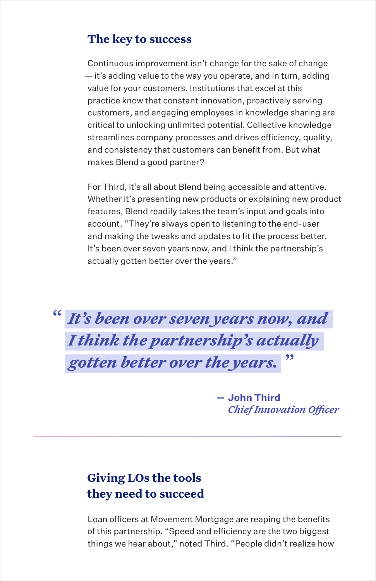#### **The key to success**

Continuous improvement isn't change for the sake of change — it's adding value to the way you operate, and in turn, adding value for your customers. Institutions that excel at this practice know that constant innovation, proactively serving customers, and engaging employees in knowledge sharing are critical to unlocking unlimited potential. Collective knowledge streamlines company processes and drives efficiency, quality, and consistency that customers can benefit from. But what makes Blend a good partner?

For Third, it's all about Blend being accessible and attentive. Whether it's presenting new products or explaining new product features, Blend readily takes the team's input and goals into account. "They're always open to listening to the end-user and making the tweaks and updates to fit the process better. It's been over seven years now, and I think the partnership's actually gotten better over the years."

*It's been over seven years now, and*  **"** *I think the partnership's actually gotten better over the years.* **"**

> **John Third** *Chief Innovation Officer*

## **Giving LOs the tools they need to succeed**

Loan officers at Movement Mortgage are reaping the benefits of this partnership. "Speed and efficiency are the two biggest things we hear about," noted Third. "People didn't realize how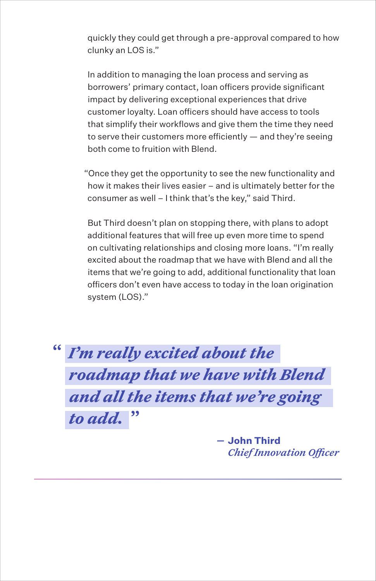quickly they could get through a pre-approval compared to how clunky an LOS is."

In addition to managing the loan process and serving as borrowers' primary contact, loan officers provide significant impact by delivering exceptional experiences that drive customer loyalty. Loan officers should have access to tools that simplify their workflows and give them the time they need to serve their customers more efficiently — and they're seeing both come to fruition with Blend.

"Once they get the opportunity to see the new functionality and how it makes their lives easier – and is ultimately better for the consumer as well – I think that's the key," said Third.

But Third doesn't plan on stopping there, with plans to adopt additional features that will free up even more time to spend on cultivating relationships and closing more loans. "I'm really excited about the roadmap that we have with Blend and all the items that we're going to add, additional functionality that loan officers don't even have access to today in the loan origination system (LOS)."

*I'm really excited about the*  **"** *roadmap that we have with Blend and all the items that we're going to add.* **"**

> **John Third** *Chief Innovation Officer*